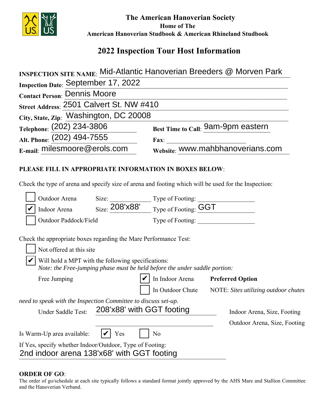

 **The American Hanoverian Society Home of The American Hanoverian Studbook & American Rhineland Studbook**

# **2022 Inspection Tour Host Information**

|                                                                                                                                                                | <b>INSPECTION SITE NAME: Mid-Atlantic Hanoverian Breeders @ Morven Park</b> |  |
|----------------------------------------------------------------------------------------------------------------------------------------------------------------|-----------------------------------------------------------------------------|--|
| Inspection Date: September 17, 2022                                                                                                                            |                                                                             |  |
| <b>Contact Person: Dennis Moore</b>                                                                                                                            |                                                                             |  |
| Street Address: 2501 Calvert St. NW #410                                                                                                                       |                                                                             |  |
| City, State, Zip: Washington, DC 20008                                                                                                                         |                                                                             |  |
| Telephone: (202) 234-3806                                                                                                                                      | Best Time to Call: 9am-9pm eastern                                          |  |
| Alt. Phone: (202) 494-7555                                                                                                                                     |                                                                             |  |
| E-mail: milesmoore@erols.com                                                                                                                                   | Website: WWW.mahbhanoverians.com                                            |  |
| PLEASE FILL IN APPROPRIATE INFORMATION IN BOXES BELOW:<br>Check the type of arena and specify size of arena and footing which will be used for the Inspection: |                                                                             |  |
| <b>Outdoor Arena</b>                                                                                                                                           |                                                                             |  |
| Outdoor Arena Size: $\frac{\text{Size:}}{\text{208'x88'}}$ Type of Footing: $\frac{\text{GGT}}{\text{GGT}}$                                                    |                                                                             |  |
| Outdoor Paddock/Field                                                                                                                                          |                                                                             |  |
| Check the appropriate boxes regarding the Mare Performance Test:<br>Not offered at this site<br>Will hold a MPT with the following specifications:             |                                                                             |  |
| Note: the Free-jumping phase must be held before the under saddle portion:                                                                                     |                                                                             |  |
| Free Jumping                                                                                                                                                   | In Indoor Arena Preferred Option                                            |  |
|                                                                                                                                                                | In Outdoor Chute NOTE: Sites utilizing outdoor chutes                       |  |
| need to speak with the Inspection Committee to discuss set-up.<br>208'x88' with GGT footing<br>Under Saddle Test:                                              | Indoor Arena, Size, Footing<br>Outdoor Arena, Size, Footing                 |  |
| Is Warm-Up area available:<br>Yes                                                                                                                              | N <sub>o</sub>                                                              |  |
| If Yes, specify whether Indoor/Outdoor, Type of Footing:<br>2nd indoor arena 138'x68' with GGT footing                                                         |                                                                             |  |

## **ORDER OF GO**:

The order of go/schedule at each site typically follows a standard format jointly approved by the AHS Mare and Stallion Committee and the Hanoverian Verband.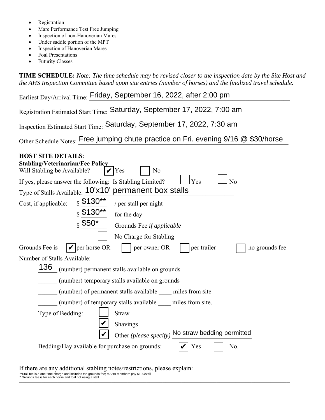- Registration
- Mare Performance Test Free Jumping
- Inspection of non-Hanoverian Mares
- Under saddle portion of the MPT
- Inspection of Hanoverian Mares
- Foal Presentations
- Futurity Classes

**TIME SCHEDULE:** *Note: The time schedule may be revised closer to the inspection date by the Site Host and the AHS Inspection Committee based upon site entries (number of horses) and the finalized travel schedule.* 

| Earliest Day/Arrival Time: Friday, September 16, 2022, after 2:00 pm                                                         |  |  |  |  |
|------------------------------------------------------------------------------------------------------------------------------|--|--|--|--|
| Registration Estimated Start Time: Saturday, September 17, 2022, 7:00 am                                                     |  |  |  |  |
| Inspection Estimated Start Time: Saturday, September 17, 2022, 7:30 am                                                       |  |  |  |  |
| Other Schedule Notes: Free jumping chute practice on Fri. evening 9/16 @ \$30/horse                                          |  |  |  |  |
| <b>HOST SITE DETAILS:</b><br><b>Stabling/Veterinarian/Fee Policy</b><br>Will Stabling be Available?<br>N <sub>o</sub><br>Yes |  |  |  |  |
| Yes<br>N <sub>o</sub><br>If yes, please answer the following: Is Stabling Limited?                                           |  |  |  |  |
| Type of Stalls Available: 10'x10' permanent box stalls                                                                       |  |  |  |  |
| $s$ \$130**<br>Cost, if applicable:<br>/ per stall per night                                                                 |  |  |  |  |
| $\frac{1}{2}$ \$130**<br>for the day                                                                                         |  |  |  |  |
| $s$ \$50*<br>Grounds Fee if applicable                                                                                       |  |  |  |  |
| No Charge for Stabling                                                                                                       |  |  |  |  |
| $  \mathbf{v}  $ per horse OR<br>Grounds Fee is<br>per trailer<br>per owner OR<br>no grounds fee                             |  |  |  |  |
| Number of Stalls Available:                                                                                                  |  |  |  |  |
| 136<br>(number) permanent stalls available on grounds                                                                        |  |  |  |  |
| (number) temporary stalls available on grounds                                                                               |  |  |  |  |
| (number) of permanent stalls available miles from site                                                                       |  |  |  |  |
| (number) of temporary stalls available miles from site.                                                                      |  |  |  |  |
| Type of Bedding:<br><b>Straw</b>                                                                                             |  |  |  |  |
| Shavings                                                                                                                     |  |  |  |  |
| Other (please specify) No straw bedding permitted                                                                            |  |  |  |  |
| Bedding/Hay available for purchase on grounds:<br>Yes<br>No.                                                                 |  |  |  |  |
|                                                                                                                              |  |  |  |  |

If there are any additional stabling notes/restrictions, please explain: \*\*Stall fee is a one-time charge and includes the grounds fee; MAHB members pay \$100/stall<br>\* Grounds fee is for each horse and foal not using a stall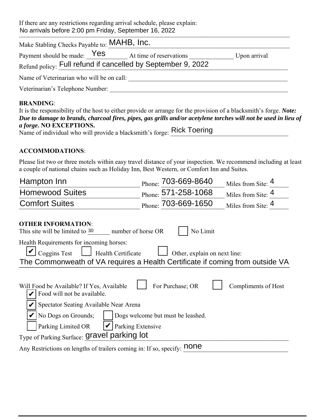If there are any restrictions regarding arrival schedule, please explain: No arrivals before 2:00 pm Friday, September 16, 2022

| Make Stabling Checks Payable to: MAHB, Inc.                                                                                  |              |  |  |  |
|------------------------------------------------------------------------------------------------------------------------------|--------------|--|--|--|
| Payment should be made: $\text{Yes}$ At time of reservations<br>Refund policy: Full refund if cancelled by September 9, 2022 | Upon arrival |  |  |  |
| Name of Veterinarian who will be on call:                                                                                    |              |  |  |  |
| Veterinarian's Telephone Number:                                                                                             |              |  |  |  |
| <b>RRANDING.</b>                                                                                                             |              |  |  |  |

### **BRANDING**:

| It is the responsibility of the host to either provide or arrange for the provision of a blacksmith's forge. Note: |
|--------------------------------------------------------------------------------------------------------------------|
| Due to damage to brands, charcoal fires, pipes, gas grills and/or acetylene torches will not be used in lieu of    |
| <i>a forge.</i> NO EXCEPTIONS.                                                                                     |
| Name of individual who will provide a blacksmith's forge: Rick Toering                                             |

### **ACCOMMODATIONS**:

Please list two or three motels within easy travel distance of your inspection. We recommend including at least a couple of national chains such as Holiday Inn, Best Western, or Comfort Inn and Suites.

| Hampton Inn                                                                                                                                                                                            | Phone: 703-669-8640 | Miles from Site: 4  |  |  |
|--------------------------------------------------------------------------------------------------------------------------------------------------------------------------------------------------------|---------------------|---------------------|--|--|
| <b>Homewood Suites</b>                                                                                                                                                                                 | Phone: 571-258-1068 | Miles from Site: 4  |  |  |
| <b>Comfort Suites</b>                                                                                                                                                                                  | Phone: 703-669-1650 | Miles from Site: 4  |  |  |
| <b>OTHER INFORMATION:</b><br>This site will be limited to 30<br>number of horse OR                                                                                                                     | No Limit            |                     |  |  |
| Health Requirements for incoming horses:<br><b>Coggins Test</b><br>Health Certificate<br>Other, explain on next line:<br>The Commonweath of VA requires a Health Certificate if coming from outside VA |                     |                     |  |  |
| Will Food be Available? If Yes, Available                                                                                                                                                              | For Purchase; OR    | Compliments of Host |  |  |
| Food will not be available.                                                                                                                                                                            |                     |                     |  |  |
| Spectator Seating Available Near Arena                                                                                                                                                                 |                     |                     |  |  |
| No Dogs on Grounds;<br>Dogs welcome but must be leashed.                                                                                                                                               |                     |                     |  |  |
| Parking Extensive<br>Parking Limited OR                                                                                                                                                                |                     |                     |  |  |
| Type of Parking Surface: Gravel parking lot                                                                                                                                                            |                     |                     |  |  |
| Any Restrictions on lengths of trailers coming in: If so, specify: <b>none</b>                                                                                                                         |                     |                     |  |  |